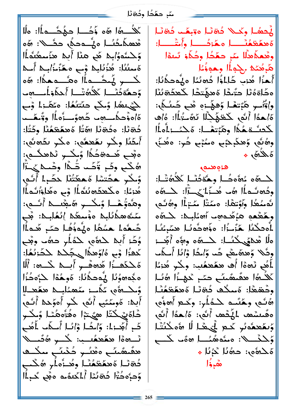كْلُـــةُ أَهُ هُ وَّحُــــا حَهُجُـــه أَا: وَلَا هُههُمُدُنُــا ههُـــودهُ، حثَـــلا: ٥٥ وَّكْسُووُّابِكَ هُي هِنْا أَبِكَ هزَّمْهُلُدَّا ەَمىلُدُا: هُدُّنُابِه وْبِ مِعْنُمْ ُابِهِ أَسْه لكسو مُحدَّسه أا محسَّسه همًا: 6ه وَحمْتَفُسْها كَلاُهُشْها أَحدَّفهُ أَحده لِكَيْبَعِمَا وُلِّكُمْ حِنْتَنُعًا: مَكْذَا وْب ەْرە ئىكسىھە كەۋسىۋەلما وۋىقى دُة لَا: ٥دُة لَا اهَٰتُا هُعفَعْفَلًا وكُتُا: أَمِثْنَا وِكُمْ بِمُعْمَى: مِكْمٍ بِكَمِنَى: ەبْب مُـــەقەدُدًا وُمكْـــو لْـدْهْــــە: هُكْبٍ وِكُمٍ وَّكُمَّا فُـكْلُّا وِكْمَــكُلْمَ يَـتْلُ وۡكُرٖ ﻤَٱتَنۡمَا هَﻤَعۡتُنَا حَضَّہا ٱتَـٰہٖ هُذِمُا: ۚ مَكْعَثُمُ نُثُمَّا ۖ وَۚ عَ مَعَاذَاتُ مَا ا وهُوَوُهْــا وُلكْـــو هُـبِثْنـــدْ أُنـُـــو: مَمْهُ هِدَٰكَابِهِ وَمُعَهَّهُ }نُعُابِهِ: ثَبِ تَعَمَّمَا حَسُمًا مِهْوَفًا حَتَّ هَٰدَاً وُكِّمْ أَبِيهِ حَدَّمَهِ حَدَّلُهِ حَسَّ وَبَّنِي كَعَزُا فِي هُ/وَهكُل كَجُلا حَقَّ نُعُلَّا: هُكْكُفُ; هُدَهُفَ أَبِكُمْ كُنْدَهُ: أَلَّا ەجْھەوُلَا يەْھەلَال: ەْوْھْەْلْ كْرَّەھُدَّا وُكِدةُ مِنْ مُدَّسِنٍ مُنْعَمِدُابِكَ هِدَهِدِلا أَبِيا: هُومَمْبُي أَنَّى لَكُو أُهوِّها أَنَّى دْاهْيْكْتَّا هِيّْتِهْ ابْتَنّْهُمْ اتّْكُرْيَوْهْ ا كَعِ أَبَّحِـ;L: وَٱمْكُـا وۡٱنُـا ٱُــكَٰٮَ لَمُتَـعِ ئەۋا ھەھلىب: كُسىر ھۇئىسلا ھقَىقَىٹَ ەتْئىر خُنْئَ مىڭىگ دُة لَـا هَ مَعْمَعْعُلْـا ۚ ومُــرُّه اُب هُـكَـب وۡحوۡ ۡحَیۡۤا ۖ حَٰۃَ نُمۡا ٱ ۡلَکۡتَفۡ ہِ وَہٖۡع کُــٰ اِلۡا

لْمَعْصًا وكُلًّا دُقَالًا هَوْبِكُمْ دُقَالًا ة «مَعْمَنْدُ الْمَنْ دُ اللَّهِ أَنْتُ الْ وقْعِكُاهِلًا مَمْ حَقْحًا وَحُكَّوْ يُبِيهْا |هُوهُمُمْ رِجْدِلُمْ وِهُوَدُّا | أَهزُا هُذِبِ خَالمُوْا دُهنُنَا هِيُّوحِكُنَا: ەكَاةەْلْا حَتَىڅَا ەْھكْتْحَا ݣْھْھَتْلَا وإِوَّٱبِ هَٰٓ;َتِمۡل وَٰهِمۡ ٰٓ; ۚ هَٰٮ حَٰٮنُـٰکَٰ): هُ/ههُ/ أَنُّه خَطَّهُجُلًا نَهُ تُزَاّ: هُ/ف لَّكْتِسَةَهُماْ وِهَبَّتْهُـا: هَكْــزَاهْمَاْ وِهُنَّهِ وَهَكَرِيبٌ مِنْبٌمٍ حُرٍّ: مَعْنٌو ەللائى \* ونهمته لمستَمَّدهُ مُحَمَّد وَحَقَّدُكُمْ لَلْأَهُشَا: ودُه ئـه أَا هُ مَدَّ اجْمِعْ أَا: ﴿ حَدَّمَهُ بُعْمُعُلْ وَأَوُتِتْمَا: مِمْتْلَ مُتِزَلًّا وَهُنُّعَ وهَعْدُمُو هُوُهُدُوهِ أَرْهُ مُلْبِكَ: لَحْدَةُهُ لِلْوَحِكْنُا هَٰٓئُوْٓئُوا: وَذُوْهِجُوَيُّا هِمُّرِيُّلُ هِلْمَا هُدْهُرِيكْسًا: ﴿ وَهُوَ وَهُوَ أَجَمَعَتْ وثَلا وَهِهَمْشَى حٌم وَّامِثًا وْاِئًا أَسْلَمْ لَمُّلِي نُـ30 أَف همُعمُّيب: وِكُـرٍ هُـزْمًا كْلُـهُا هفَـهُـبِّـ حِبْ كَـهِـزُا هُـُـل وضُقْعًا: هُمكُ دُوْنَا هُمْعَقْفُنَا هُنُّهِ وِهَنُّمه لِمُهُلُّهِ: وِكُمْ أَهْوَى رِصَاً أَمْدَاهٌ : صَالَهُ صَاعَلَ لَمَسْتَمَعَ م وَبِمَعِيشَةَ لَهِ الْمَسْرِينَ اللَّهُ مِنْ الْمَسْرَ اللَّهُ مِنْ الْمَسْرَ الْمَسْرَ الْمَسْرَ ال أَوَّلْمُسْلًا: مِنْمَصُدًا «هُ- كَمْسِعْ ەَكەۋە: دەمُرُا مْزُرُا \* هْيرؤا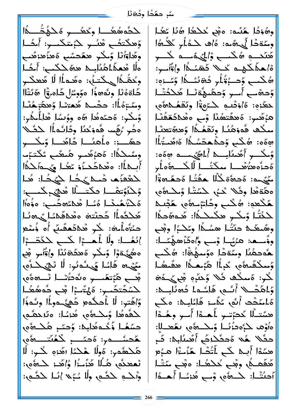لمَدْهِ هُعْـــا وكَعُــــو هَـحَهُتُـــدُا وٌهكُتتُب هُسُــرٍ ۖ حُبُـتكَــــر: أَمتُـــا وهَاوْأَنْا وُلكو هفْحسٌل هُمْزُمْرْهُلِ ەلل مُعمَّامُنَابِه مەھَككىپ: أَمضُا وِكْتُكُمْ لِيَكْتِبُنْ: هَ هُدْهَ أَلْهُ هُتَدْبِ كْلْقْوْنْا وِيْدْهْوْا دَوْوِيْرَا كْلَمْرَوْا هَيْتْالْ ومِّتزِهُ أَا: حضْهِ هُعِبْتُ وَمِحَّرِ هُنْهَا وًىكُو: ەُھمُەھُا ھَە ووُلسُا ھْالمُلُو: ەكُر رُفِّس ڤُەوْكْنُا وِكَانُـْەلَٰا ۖ كَـثَــٰلا حھّــــز: ہ۔اُھنُـــا ھُاھُـــا وُلگــــو وسًىلِكُما: ەَھرُهُمىر ھُىھُىپ ئَكْترُم أَبِهِلًا: وَهُهْكُمْ َوْ مُعُمَّا وَيُحِفَّهُمْ لَحْقَفَهِ مِنْ الْمُرْسَدِ مِنْهُ مَنْ هُدَا وَحَذَوَّتِهُــا مَكْتــلًا هُئِي كَمـــبَ: هَكَتُمَّمُكُمْ هُنَّا هُدْمُوهُ صَّبٍ: هؤُوَٱلْ هَٰذَهُ الْهَ حَدْثَتِهِ ۚ وَهُٰذَهُ مَاسًا ﴾ وَمَا الْهَ حنُّوْه أُمه: كُلِّ هُدْكُمعُّمَّ أَو ذُمْع }نُمُــا: ولًا أُحـــبْ! كُــــ ككَتَـــبْ! ەھُيُّةوٛٳ وُٓٮكُـڔ ەٞڡڬڞۊٮُڷٳ؋ۣٳۊؙڷڛ۩۪ؖ رەڭكرىمىڭ الى ئەشىرى لىناھ ھركىد بْبَ هَبْتَمَــــر مثَمثُنَـــا نَـــــوهُور لْكَمُصَّحَىٰ وَجَهْدَمْ الْجَمَعِ حَدْهِ هُمْ الْمَسْتَخْرَجَةَ وَالْمَسَاءِ وٰٖۡاٰ قَتب: لَا ۖ أَحكُم مَ حَيۡ ِ؎وٖۦاٗا ۖ وِنَـُموَٰٓا لِحَقَّوهُا وُلِحِيوَى هُزِيَا: وتُرَبِّعَهُم حمّمُـا وَّكُــهِ هُابِـهِ: وِّحِسُــ هُــْـــةَى هَٰٓۮهُڡڔ: هۡوِلًا ۖ هَٰٓۮۦۢا اهٗذو ۖ كُــُـر: لَٰا تُعْعَدُونَ وَسُلًا مُخَسَرًا وُاهَٰ حَدُوهُ وَ: وْآخِهِ حَدُّمٍ وِلَا سُبِّي إِنَّا حَدُّمٍ:

وِرُودُا هَنَد: دَبْدٍ خُلْطُا رُونًا عَصًا وَسَّقَاضًا أَيْ هَذَا وَأَنْ الْمَسْتَمَامِ لَلْأَلْفَاءِ هُنَدو هُكْسٍ وْالْجُهُ مِ مُسْمِر ةُاهلَمْكُلُوه مُمكلاً فَتَقْمُدُاْ وِإِوَّٱسِرٍ: ھُكُب وِّحِيَّةُ أُمِ دُهْنُكُمَّا وَمُــْوِ: وۡحدۡھَٮ أَ؎ وۡحمَّىۂُۃتَـا مَحۡحَتۡـَـا حكَّنو: هَ/وْضُبِهِ حَكْرُهِ وَلَّقْعُكُلُهُ مِ هزُهُدر: هُهفُتهُنْا وُٓب هِ هُدَاكُمْفُلْدَا ممكْك فُودَمُنُـا وِنَقْعُـدًا وَهِدَّةَتِعِنْـا رەكە: ھېڭىي ۇجۇھقىئىگا كاھْنىش وُمكْسِرٍ أَهُدِمَابِكُمْ أَمْلَائِكَ مِسْدَةٍ 30\$0: ەْجزُەھْرُوْسا مېڭشا لاڭ مۇمار بَهُمَ مَنْ النَّفَعُ الْكُنَّةُ مَعَيْنَا الْمَحْمَدُ وَقَرَّأ هَفَقَقُدا وِثَلا كَمَنِي لَحْمَتْنَا وُحْدُوُّى هَكْعِدٍ: هُكْبٍ وِحَانِبْمِــهُٯٍ هَٰذِنِــهِ لِكْتُلِ وُحْكِ مِكْتِكْتُوا: مُحْمَدَهُ الْمُحَمَّلِ وهُمعُكُمُ حنَّتُهُ هِمُمحُلٌ وَمُكْثُرًا وَقِبَ وذُكم: عرُبُ وَكِي وَٱوكُنُوهِيَّمَــا: هُدَحَمُنُا ومُنَةَضًا وَوُسَهُقَّا: ﴿ كُلْب وَسِكْفُتْهُمْ كَبِلًا هُبُنْ الْمُسْمَّا مِقْتِهَا كُم: ەَسْكُكْ ئَىلا وَحَنَرِهِ ثَمِنَ حَصَٰلَة وٰۡٓاهَٰ؎ۡٮ ۚ اۡ اُسُـٰہ اللّٰہ عَامُـٰہ اللّٰہ عَامِیہِ ﴾: هْلْمُحْد أْشِّي مُمَّد; فْالْمَلِكَ: هكَّب همّتلًا كَحرّت لّمها أسر وهُـهْا وُأَوْهَا كَرُّوْدُنُوا وُلِكْتَرَةُ مِنْ تَقْعَلُوا: حثَلا هُلا هُحثَكِّاضٌ أَهُمِلُلِهِ: كَمِ همّةا أبِهِ كُبٍّ أَتُثْهَا هَزَّتْوا هـرُم مُفَعِـمُ وَبْبِ مُحْمُـا: هَبْبِ مَتْـَا أَحِبُتْهِا: ﴿ وَمِنَّ هُوَ أَسْرَاءُ أَحْسَمُ ا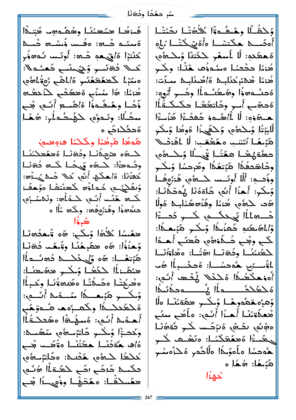فَعزهُما همُعهمُنُا وهُهُده وَ هُبْتُ كَمِمْتُ هُـــهِ: هَفُــِيبَ وُمِنْيَــهِ هُـــكَ كَنُبْزَا ݣَاقْ هِمْ شَـْرَهَ: أُونَـُـْتْ شُـْرَهْ وَمُرْ كْمِلًا دُةَنْسِرٍ وُبْيُمِنَّبٍ هُمشُمْلًا: رەۋەلمۇرى بىرلەق ئەنبەت ئەۋ هُزِمًا: ﴿ مُمْنُوبٌ وَهِهُضُمْ لِأَحْقُدِهِ ذُكُما وهُبِعْدُوْا هَاهُبِم أَبْدِ قَبِ مدَّىُلا: وِنَـدوِّى لِكَهَنْـدَـدُلِن: شَـمَـل ەّحث**ك**اك \* هُوهُا هُرِهُمُا وِكُلْمُا قَزْوِهِمْوَ لمستَه مترجمُنًا ودُنقلا هُمحَمَحِدْنُنَا وضَّـوه ُ الصَّـرة وَ مَحْــدَ مِنْ مَــدَّة مِنْ مَــدَّة مَــدَّة مَــدَّة مَــدَّة مَــدَّة مَــد كَعْتُوْلَا: هَا هِكْنِي أَلْفٍ كَمِلا ضُمِكَ مِلْآهِ: وَبِفَجْهَمٍ جَدَاؤُهِ كَعِبَتِهَا وَمُعِفَّخ كْتُمْ هَنَّسْ أَنَّمِ لِمُسْأَمَّةٍ وَلَٰكُمْ وَمِنْ حشُهوزًا وِفُزْهِ فُه: وِكْلَه عُلًّا ﴾ ھىمَسْا كَلَّاهُا وَّىكَى: 6% تَّىعتُدەنْدا وَّهزُوْا: ۞ه ههَبِهُنُا وِوَّمَعُب دُوَّنَالِ هَيْتُمْسا: 6ه وَ} كَمُلْكُمْ دُه تُــه؛ هنَصَّۃِ أَا ۖ حَكَّعُـا وُحكَـبِ هِ هَذَا عَمَلَـا: ەھْركٖتْـا ەكْـىگْتْـا ەھْدەۋُنْـا وكْـرِلُمْا وَكْبِ هَزْمِهِكُمْ مَّصْدُمْ أَتَّـمٍ: ةلمغللسة وكعبؤمم مئموهم أَلْمَــكَمثْه أَشَــهِــهِ مَا مَشْتَدَةُ أَلْمَــدَةُ أَلْ وكْحِبْزًا وُحكْسٍ حُلَّتِنِصِيهُمِ حَكْمَصِيهِ: هُ/ڤ هُةَدُنْــا هِعَّتُنْــا هَوُهُـــه قُب بُعْطَطْ حَمْدُهِ، هُضْعا: وصُّابَتْنِمُوهُ، حكْسِمْ خَرَضَ آصَّے لِكَمَّـةَ أَلَّا هُنَّـم همّسكقًا: ممّتهْا وؤُي ألا بْم

وَحْدَثُ لَلا وهُبِعْيَدَوْۤا ۚ كَلاُهُ تِبَا بِجَبْتَ ا وَلَىٰ الْمَسْكَمِرْدَهُمْ الْمَسْتَمْعَةِ مَسْدَهْرِ هُهعَكِهِ: لَا لَمُسْهَوِ لِكَمْتِنَا وُحِكِمُّو هُزِمًا حَضْحُمًا مِئْدَوُّى هَتْبًا: وِكْتُو هُدْمًا هُكْمُ حُلَابِكَ هَٰاهُمْعُلِكَ مَسَلَّتَ: ەَحىــُــە∞ۈُا وەھمىدىك مال وحُــــو آروە: هُدهُبِ أُسِرٍ وِحَاتِعُعْـا حكْىكْـةُلُّا ـْمَـْجَىْ: لَا أَ}َهَـْدِ وَحَقِدُ أَوْ هَٰذَا مَّزَّمْـــٰٓرَا لَٰٓابَڹۢتُا وٖٞٮۮ۞۫ؠ؋ٚٮۮڡۣٞڋا هُوهُا وٞٮڬ۠ڔ هَّبُسُمَا أَمِّننب مِعْعُقِبٍ: لَٰا لِمُؤْشَىلا رەۋەك ۋالْمِرتْ الشْهْدا ھۇي قىھەر وخَاهْدِفُمُّا هَٰٓيْتِمُّمُّا وِهَٰٓدِمُنَا وُحَكَّـدٍ وَوَّصِحِ: ٱلْمَا أُوسُــب لِــــوَّى وَارْوِهُــا وَّىكُو: أَهزُا أَنَّه كَاةَهُ لَا هُمَّتَـٰأَكَـٰا: رَهُ حَدِيَّةٍ هُـزْمًا وَفَزْهِ هُمَاجِـدٍ هُولًا وْالمَّمْعَدِ حَمْنُهُا وُحكْسٍ هَيُعْمَلُا: كُمْ وِبْمِ دُلَّاوْرُهِ، هُمْنُمْ أَهْدُا لِحَقْبَنُكُمْ وِدُوْنَهُمْ اللَّهَ تُسْلَدُ وَهَاوَأَنْهَا لمؤْسِيِّبِ هُوصِيُسا: وَحِكَسِيلًا هُب أَه; هَكْعُمْهُ! هَكْذُلا يُضْعِفُ أَنُفٍ: هَجْعَجْدُ وَالْمُ الْمُسْمَدِهِ مُمْتَحَدُ وُهِوْمغْهُومُا وُكْسِ هِفَقْنُا هَلَّا هُدهِكُوْنُسُلُ أَحِدُّا أَنَّـهِ: وَلَمُّنَّـعِ مِنَّـعٍ ەۋىئە ىكىۋە ەڭگىس گىر ئەۋەتل بِمِكْمِيةً وَاسْتَكْتُمْتَدَةً وَاسْتَكْتُمْتَ وَاسْتَكْتَبَهِرَ هُدَمَنَا وَأُوَمُدًا وَلَادُورِ وَكَذُومُب هُدُهُا: هُهُمْ \* **~ حي-ُ ا**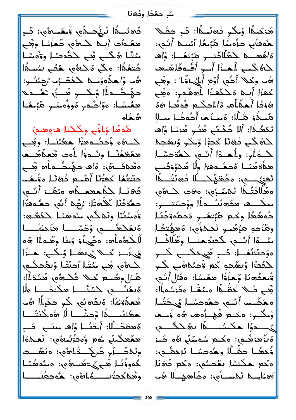دُه نُسمًا نْرِيَّحِــدُّى قُبِعَْـــهُى: کَــِ همّحاْت أب1 حــرهٔ من حَمزُسًا وقب مَتْـٰا هُكْمے ثْبِي حْدُّدْسَا وِوّْْمِسْـا كُتعُكُا: مكَّى هَـدْهُم هَضْـ سُسكُا هُ وَٱههُمُووُكُمْ كَخُصَّةٍ وَجِئْتُـــو: حهُمصُــه أَا وُمكْــــو هُــــتَى تَعْــــه\ا ھكَسُلُ: ەۆُاھُـەر ەُوۋەسُــر ھەُمگا  $\frac{1}{2}$ 

هُوهُا وُلْمُو وِكْكُمُ فَوَهِمُوْ لمستَهْهِ وَحَدُّده مِنْزًا حَمَدُهُــا: وقُبِـــو همّغْهُنْسا وبُّدوُا لِمُود هُمكَهُمس ەقىداكىتىگى: ۇاق ھۇمھىملە ۋىس حنّتنُمُا كَعَبّْنَا أَهَّــم دُةتْا هَقُـمًــ دُة ٱلْمَالِكُمُعْمِدَةُ مِنْهُمْ وَمَعْهُمْ أَتَّسَمَعُ حمَّةكُنْا كَلَاهُتْا: رُجْم أَنَّى حمَّـهِـَّةْا قُەممُنُنْا ونْمْكُمْ مْهْهُمُمْا كْكُفْرُهِ: ەبكى ھۇسىسا مۇھئىگىل لَّاكُلُّةُه أَلَّهَ: وَضَٰيْدُوْ وَّمِنُا وِهَٰدِهِ أَلَّ لحدةُ مِنْ مُنْتَارِ أَحِنُتْنَا وُتَمَّحَكُمْ وَ هْـرًا وهُمــع كَــلا هُــْــوهُ، هُـمُـة لَمَا: ەْسَمْتُــــە كَمَتْــــا ھگتخْــــا ەلْل هُ**م**كَّاوْمُنْا: ەْىكَھ**ىڤى كْب**ْ ھِجَّاْ الْمُمَّا هعَمْنُــــدُا وْحشْـــا لَا هُوحْنُشْـــا ەُھھَتَـــُلا: أَمثَنـُــا وُاھ مىنّــى ۖ ضَــو همُعكَمنٌ هُم وَۚ٥دَ ٱللَّهُۥ لَعلاهُ ا وِلْمَاضَـــزُرِ ضَرِبِّـــةُ اهْي: هِلْتَفَـــت گەوؤُنُّا بْكِيْ كَتْرَهُمْسَامْتَى: مِنْدَهُمْنَا 

هَٰزِيُدِهُا وُجِيْدٍ دُهِ نُسِمًا: کَبِ حَثَیْلا هُوهُ وَأُومُهُمْ وَأَوْهُمُ أَمَّسِيمُ أَنَّفِي: هُ/فَعِصِـــِهِ حَكْلَاحُتــــو هَبُتِمْـــا: وُ/ف لِحَدَّهُكُبِ أَحِيرًا أَسِرٍ أَقْدِقَاهُمِمَهِ هُ وَكَمَلاً أَحُمْهِ أُوُمْ أَلْمُهَاوَٰٓاً : وَبَنِي كَعْزًا أَبِيهِ مُحْكَمَةُ أَرْهِقُوبِ: وَبُنِي هُوْدًا أَهْلَالُه هَا احكْمِ فَوهُما هَوَ هَــدُو هُــُلَا: هَـمــزْهـ أَحُوجُــا مــلا نْتَعُـدًا: ٱللهُـدْمَـّے مْنُـرٖ مُنْسًا وُاِف لِحْمُكُم دُةِنَا كُحرّْا وُلِكُو وُلِعُجِمْ لحَــدُاُر: واُلِعَــدْا أَنـّـمِ لِحَمَّةِحِسْــا هدُّةهُنـَـا هُـَــمُـــهِـدَا وِلًا هُدْوِّوْمُــبِ لَهْــْ يُحْمَى الْــــــــمُّلَا دُه سُــْـــــمُّا هِ هَٰلَاحُتُـٰہُ لَـٰ نَمْمَــرُى: هِ هَد ــدهُمِ مىڭــــدە ھكەنىئــــەلا وۋدىمتــــــو: دُّەھُعُدا وكُد هُبَّتمُسِ ەُدىھُەۋكُلُّا وهُنْدهِ هزُهُسرِ لَنَدْوُونَ: هُمَهُتَشَا مَّـــهُا أَنَّـــمِ كَدِنُهِـمُـــا وِهَٰلَاتَـْــا ەۆدئتىنگىل: ئىب ئىپىنگىپ كىس لْكَحْتْزَا وُبْعَمْحِهِ كُعْرِ وْحِنْجَاهْبِ لْحُسِ وَّْعِجُدُونَا وَعِزُوًّا هِمَّىنَا: وَقَرَا أَنَّم بْبِي شَــلا عُقُــدُا ممّقْـا مفَنــُـملُا: وُمكْسِر: ەڭمىھ كْلاھي، ھەھ وُسىھ في دوا هكىسُكُما بۇيلىگى أَهْ يَزْهَدْهُ وَمَا وَ حَدِهِمْ مَنْ مَهْلُ وَ هُوَ مَنْ أَحْسَنَ وَّحِعُكَ حَقُّلًا وِحُوصُكَ تَرْجَعُتِي: ەڭم ھگتشا بۇچشە: ەڭم ئۇق أَاهْلِكُمْ لَلْمُعَارُونَ: وَشَاهِدِكُمْ اللَّهُ عَامَدَ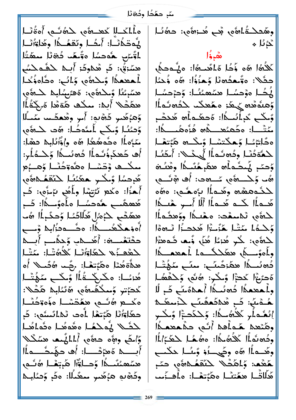مِلْلِكَمِلْا كَعْصِرْهُمْ لِحَدُّشُمْ أَهَةُنَا لِمُوصَدُكَـا: أَمكُــا ونَقْعُــدًا وهَٰاقِٱنْــا لْقُمِّعِ هُوَجِبًا وَقُبِّمَتْ ذُرَّةَ لَا مَعَمَّتُا همُنقُ: ثَمِ هُدُوئَة أَبِيدُ كَفُوكُنَّ أهعمعاً وُلِحْدَةً وَلَمْتٍ: وَالْمَادَوُكُمْ همّْبِنُنَا وُسَلَّحْوَى: هَعْرُسُلِيهِ لَمِعْوَى هَمَّكُمْ أَبِهِ: مِكْفٍ هَٰةَهْا هُرِجِّةُ أَا وُهزُهُس كَاهُ بَهْ: أَس وهُعَكَــْتَ مَمْتُــُلَّا وَحِبُنًا وَٰٓىٰٓگَے ۖ أَمِنُوَضًا: ۞ ۞ كَد۞ُور مَبْرٌه أَل هجُّه هُمعُل هُه و}وُّأنُابِه حقَّه!: أُف كُعكُروُنُـماُ الله صُحاً وَجَــمَابُ: سكــد وْحْسْــا مْمُوَحْنْــا وْهــوْمْ هُدِحسًا وُحكْسٍ هِعَمَّتُـا كَتَقْعُـدَاهُ) أَهزَّا: هَكُمْ تَرْتِهْدَا وِلْمُعَى بَهْنُوبٍ: كُمِّ هُههُب هُوجسًا وأُووُسِهُا: كُبِّر ههَضَم حَجَّهُ لِكَلَاصًا وَحَضَّرَاً هُ أُهوَ هَكْعُمِـــدًا: هَدَّـــهِ دَزَّابِهِ وَْسِبِ حثَقفْمِـــة: أُهَّـــهِ وَحدٌمـــ أُبِـــهِ ﻼھٛڡۂ؇ ܠھٗٳۊ*ٲ*ٮٝٳ ٚڴؗۯۄ۠*ؾٛ*ٳۥ۬ۦڝؙ*ؾ۠*ٳ هِدَّةَهُدًا هِمَّئِتُهَا: ,ضُّ هُضُــلا أَه هُذِيَـا: هكْرِكْــةُلُمْ وُجْبَ مَوْشًا كْحَبِّتْبِ وَسَكْفُتْوَى وَالْمُلْبِطْ هَٰحُكا: ەڭسە ھۇشىم ھۆتشىل ەۋەۋكتىل حعَّاوْاُنْا هَٰٓءَتقَا ۦأَ٥ت نْدَائَسْئَمِ: ضَ لحثَــلا يُـمحْـطُــا معْمعُصا مثَملهُــا وَّامَعُ وِجْهِ دِجْهِ, اْلْمَلْهُمُ هَنْكُمْ أَبِــــــمْ هَمْزُنْــــــا: أُفْ حَهْمَدُّــــــه أُل همّعمْنٌكُمْ وَحِلّوٌّا هُرِبْقُط هُوَ اللَّهِ وكَدّْنِهِ عَزْهُبِ معمَّىلًا: دَكْرٍ وُحَبَّابِـــــا

وهَمحكةُ اهُمٍ ثَمِ هُـزهُمٍ: حَمَّلًا **گ**رُنُا ۽ هْمِ وُ لْمُدَهُ أَهُمْ وَّدًا هَاهُمُ وَهُ أَهْلِهِ مَنْ مَاهَمَهُ حثَىٰ\: وَقُسْعَتُهُ لَا وُسْؤُواً: 60 وُحِبًا لْمُحُــا هوْحِسُــا هِمُعْمَّتُـا: وُحرْحِسُــا وَهِيهُ هُذِهِ حَكْمَةٍ مِعْصَكَ لِلْحُرُهِ بِثْمَالًا وُكْبِ كَرِلْمُكُمْ!: ەُحكَــەلْمَ هُدَخْــر مَنْتَــا: ەدَّھىُعىـــدُه فُزُّەھُمـــدُّا: ەخَلّْتَبْسًا وَحِكْتِسْها وُحْدُدُ هَٰٓئِتُفْهَا لحَمَّةَكُنْبَا وِكُلَّهُ كَالٌ لَيَحْكُنْ أَيْكُنَا ا وَحِسَرٍ لَمُحَـدِاْهِ هِجَرِهُنَـداً وِهْنُـة ھُ وَكَمِيْدِهُمْ كُمْسِيْنَ أَبْنَا هُوَ شَمْعٍ لمَدْءهڤيه وهُداْ ابْهِ هُدى: هَهُه كُحداً لِكُمْدِ مُحْمَدًا أَلَّا أُحِبِ هُنْدَاً لِكْتِثَى لْكَسِفْت: مِمْسِكًا وَوُهِشُماً وَكَــدُا مِّتْتَا هَزْتْزَا مُحَدَّرًا نَــ20\$ لِهِ مَنْ إِنَّ اللَّهُ لَهُ مَنْ اللَّهُ مَنْ اللَّهُ مَنْ اللَّهُ مَنْ اللَّهُ وأُووَّــكَ مفككــه المعمــدُا دُەنُـــدًا ھەَزمَّىبَ: مىب مَهُتْــا هُحَبُّهُ ۚ كَحبُّ ۖ وُحكُو: هُنُّو وُحَفُّصًا وأحجمهُ الدُّهرُ أَحِدَّمَكَ فَ الْ هُــةَمنّ: ثَــ, شَدْثَعقَمنّـح لـنْمحَــدُ إِنُعُـٰٓءلَٰڔٖ ۙێڎؗۿٮۮًا: و۪ۡٮۡـٰذَتٖٛاۤ وَّٖىـٰـُــڔ وهَنْعدا هَـه أَعدا أَنَـه حدَّـهعداً وِدُهِ شَمْأًا كَلَاهُ حَادًا: هَهُمْ لَا كَلَّكُمْ إِلَٰمًا وهُــولَمَا هُو وضَــرُوْ وُسُــا هكْـب هَٰهُم: وَٰاهَٰشًا لِمَنْقَمُهُ، وَمَٰ هَٰلَاتُــا همّتنْــا وهُبّتمْــا: وأُهــزَمب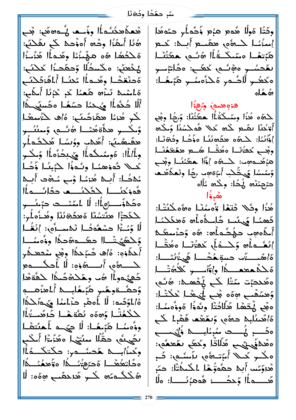هُعِكْلِمَدْتُمِلًا وِذَّــِ فُــِمِهِمْ يُــِمِهِمْ فَي هُنُا أَحَدُّا وِحْه أَهوْهم كُم بِفَكْبٌ: هَكْتُهُا هُو هِيْبَٰنُا وِهُداْ هُنْسَٰزًا لِخْعنَى: مكْسِحُلًا وَحِكَحـزًا كَـٰكـَـٰـَ: هُحِنْعَضًا وِهُــولًا عُدْلًا ٱٰلمَّوْكَـٰكَـــع كَالْمُبْكَ نُبْرُهِ هُمْنَا كُمْ كَبْرُنَا أَيْكُب: الْمَرِيْسةِهِ لِـمْمْمَا لِمُكْرِهِ الْمَثْمُّا الْأَ لْكُو هُٰزِمًا هِكَٰزِهُمِّيْ: هُ/َ كَيْٰمِعْكَـا وَّىكْـــو ھەنقەشـــا ھُتَـــە وَعىنُنْــو ھقُىھُىبُ: ٱَهۡكُمۡبِ وِوُسُـٰا هُكُـٰھُـٰمَآٰـُر وِلَمُاْلَا: هُومُمَكُماْلِ يَ بِحُزُّه اُل وَّمكُـو كَــلا شُوْهمُــٰا وِئُـووُّا ۖ لِأَبِنُـا وَّحُــاً مُكاحُـا: أَبِـكَ هُـْ:مُـا وْبِ مُــْهُد أَبِـكَ فُوفُكْك لِكْكْنُــــم حَمَّاتُـــولُّا ەكْدۇْسىرُەلُا: لُا لمَمْسْـد دۇملُـــو ِ لِكَحَزْا ۖ مِنۡتَسُلًا ۖ هَ مَحۡةَ نُنۡا ۖ وَ مُحِزُّه لَٰٓ بِ: لًا وَّـُــٰٓٓٓٓٓٓٓا حسْعُوكُــا لْـهمـــأَى: إِنُغُــا وَحِدَهُيَ شَــال حمَّـــــه¤حَدُّا وِوْهِ مُــــا أَحدُوهِ: هُ/َك شَبَحدُا وقِي سُعِعدُم كَعِيْدوِلُمْ اهُبْ وِحْمَدْهْكُنْدُا لِحَقْةَهْدَا وُحعَـُــةوهُــرِ هُزُــهُابِــــه ٱلمحْزُهــــهِ هْ الْمَكْمَةِ: لَا لَمُوهُم حزْلَمْا وَيُحِفِّذَاهُ لِلْكُمُتْـا وُ∞هُ٥ نُعْقهْـا خَرْهُنــُ;اُّا ووْهشا هَبُسُا: لَا حيْ؎ لَمسَّفْ| بِكُماً أَشْتُمُه لِرَسَّنِهِ النَّقْ رِمْرِضَ وكُمزُابِكُمْ هُدِسُدِ وَكُتِكْدُهُ ا ەكَاتعُغْسًا ەْدَىْشْكْا ەۋْھىمْسْدَا لَّهُ كُلُّــهُ مَنْ \$ هَٰذِهِ هَٰذِهُ مِنْ الْإِنْ مِنْ الْإِ

وكَتُا هُولًا هُدم هزُم وَّحَدلُّ حمّدهُا. إمتُنُها لمددُّه، همَّسع أبدا: كَسع هَبَّتمْهِ مِمْكُدةُ أَلَّهُ هُدَّى حَقَّتُهِ ا ىمّحىُس ەۋشى ككب: ەھَاتېسو ەڭھُب لاَھُـەر ەَݣْزُەمْب ھَرْمْدَا: وكأهاه فزوهمه ورجزا لِهُه هُزُا وِسُكُّةُ أُا حَكِّتُهْ!: وُرِجًا وَبُدِ أَوْجُنَا بِمُبْعِ كُلُّ هُ جَيْدًا فَيَحْشَيْنَا وَجْدَهِ }وُّائْدُا: ﴿ هُوَ مِدَوِيتُهُ وَوَكُلٍّ وَدُوَّيْهِ! وبْبِ كَعْبُرْسَا ومُذَبَّ هُـــع مَعْمَعْهُـَـا هزُهُدوهِ ذَرْ كَلْمَهُمْ إِزَّالَ حَقَّتُنَا وَبُّنَتِ وَمَمْسُلٍ يَجْمِدُوا مِنْ الْمُحْصَرِ وَالْمُمْلَامِنَا وَالْمُمْلَامَةِ حْرْجِئْنُه يُحَا: وكْله عْلَاء ۿ؞ۏؙٳ هُٰذًا وِثَلا نُتَمْا وَُّومُنْهَا وَهُوَكُنُتَا: كَعمَدُ مَالَمَ السَّلَمِينَ مِنْ الْمَعْمَلِ أَحِكُموم حَجُدَ مَا وَا وَحَزْمِيهَا مَنْ الْمَرْجَعَةَ }نُمُّــه أَنه وَحْـــهُ لَٰى كَعِبُّوْبِ مِعْتُبِ ة/هُمـــتُو صبق هُشَـــا هَيْ ُنُسْــا: هُكُمْعِعِمِكْمَا وِإِوَّاٰمِبِ ۚ كَلاُهُ شَــا ەھَددېّت مەتْل كے كْخْھىما: ھُرَّىم وَهِنَفْسٍ وَهَو قَبِي لَمْيَهْمَا كَكُنْمَا: ءبْدِ لِمُتَـٰهَا هَٰكَلاَحُتْا وِنُووُّا هُووُّەممُــا: ةَأْهَيْتُلْبِطْ حَجَّى وَيَقْعُفْ فَقْبِطْ كُلْحِ ەكسىم ئىسسى مئېئابىسىم ۋاپسىسى ەھْدْفُي شى ھَلاتْا وكىم بىرشىۋە: ەڭبو ئىما أَيَزْتْدْۋە بْلَمْشُمْ: كَبْر هْدَوِّسْتَ أَبِيا حَقَّوَتُهَا لِمُكَنفُّطَ: حَبْر هُـــــــه أَا وَحدُـــــــز هُممْ نُـــــــا: ولُا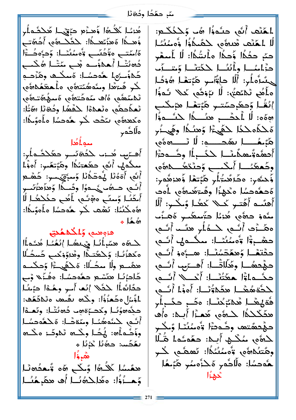ݽ ﺣﻤّﺤُﺎ ﻭﺣُﯟﺛّﺎ

هُزئـا لَكُـهُا وَُهـزُم حَزَيْبِ مَكْحُـمَاٰرِ وُهِــدًا هَهٰزَعْهِــدًا: ۖ حَـثَـهِــوَى أَحَوَّتَــحِ ەُ مِنْدَسَى وَقُصُبُ قُومِمُنُسْطِ: وَحِرَّوهُـــَبْرَا دُه نُتْـا أَهمْؤُـــه فْبَ مَنْـْـا هُكْـــو كُمْؤُسِرُها هُوصُباً: هُمكُــُ وهُزْصَــهِ لْحَمِ قَىٰتِهُا وِمُدَهُمْكَنَتِهُ، هِ أَحْقَحُكُلُهُ، رەۋىتقىۋىمى ئەۋەتت ھەك ئەھكىك نْعِكْحِمَّمِ ونْعِكْمَا كَفْعُمَا وِدُقَالَ اهْتُا: ەڭھەۋە يېڭت لگو جۇمشا ەلمۇگەا: ولأحثوج حمولاُ مُحل أُهْرُمِ هُـزم حُدُّة لُمـو حَقَلاَتُـه أُو: معكُمْلِ أَلَى حفَعَتِمُّا وهُبَّتَمَّىنِ: أَهوُّا أَلَّهُ أَةَهُلَا يُعْجَلُهُ وَسَرْقَهُمْ وَسَلَّمَتُ مَنْهُ مِنْهَا أَنَّــم حـــهُـــ يُــــمُّا وَحَــــمَّا وَهدَهمْتُمَـــر أَىضُلَا وُسبٌ وَوْنُــمٍ ۖ لَمُحبِ حـنُــاحُــا لَٰا ھُەڭنُدًا: نَھُڡ كُرِ ھُەھسُل ەلَّەوَّىدًا:  $\bullet$   $\uparrow$   $\bullet$   $\circ$ فزوهمه والمكالمعب الْمَشْمَا النُعْارِ الْـهْعَرِيّ النَّالْمِنْمَهِ مقْسَكَ ەڭھۇئـا: ۆخھَتـْھْا وقْدَوُوْمُحب خَسْحُـلًا همَّىـــمْ ولَّا محكُـــلا: هَـحكَـيـــثْرَا وَحكَــــم كَادَرُنَـا هنَّسْع حَمُّوحِسًا: وفُـزَيْد وْب حدًانُه أَا حدَىٰ\ إنْم أُسر وهُــةا حبَّـنُـا لمؤْمُرا وَحُمْزُوْا: وِكْلُهِ يَقْيَمِهِ وَلَمْأَهُمْهِ: حِبْهِ۞وُنُـا وِكَحـَمْۊهِٮ دُ۞تُنْـا: وِنَعَــةَا أُنَّـمٍ كِنُوهُمُـا وِمُقصَّا: هَكْعُوصُـا وَفَحْماُہ: يُحُـا وِحْـہ نَـٰهوَـٰ: ہـْـہ ىمَّكْسى: حەمُلُّا كَبُرُلُّا \* ھىمَسَا كَلَّاهُا وَّىكَ ۞ه وَّىعدُه لَـا وِّهِـــزُوُّا: ٥مُداِـكِـ2مُ نُــا أُڢ مِحَمِّ هُنُــا

لمَفْتَ أَنَّه حَنَّوزًا هُ- وَحَكُكُــم: لًا ﺎﻫَﻨْືَڡ ﻣْﺪﻩﻩٞ؈ ܠهُٮمُۏُۢا ۏ۫ۛڡٮؙنُـٰـا حَمْ حَثُمًّا ذَّحَمًّا مَاْتِتُمًّا: لًا لِّمَعْبِ دْئِمْسًا وِلْمُنْسَا حَكْتِنْسَا وَسَدَّب لِمُعَدُّوا الْمُتَبَّضِ وَالْمُنْقَالِ اللَّهُ وَالْمَعْلَى اللَّهَ وَالْمَعْلَى هلَاهُم نُمْكَعَتُو: لَّا يَوْهُو كَحِلا النَّمَوُّا }نُقُـا وَحعَدٍحمَّتـبِ هَزَتقَـا مرَّحكَـب هِهَهِ: لَا لَمَحْسَبِ هِنُسُمَا لِكِنُسُوذًا هَكُلُوكُمْ كَفَيْ: وَهشَكُا وَفَيْءُ هُبُمُــا بعُمـــو: لا نَـــوهُو أُحمَّمَّةُ مِمَمَّتْ لِكَبِّرِ أَل وحُــوثَرَا وحُمعَكُسًا أُمكْسب وُحِنْدْهُسِـدْهُور وَّحثَهر: ٥كَاهُنتُلُر هُبُتقَا وَهزهُمر: أُهلُت أُكُتب كُتلا كَعُنا وُبكُت: ٱلْل مثَمز حدَّى هُزْمًا حَتَّمْمَعَّمَى هَجَدَّمَ ەھَــْزَدْ أَئـُـمْ كَــْمَلَٰرٍ هنَــْد أَئـُـمْ، حمْدِۊْا وْݣُمْتُسْل: مىڭـەلى أْتُـم حفْتَهْــا وُهمُحْسُنْــا: هـــرُّه; ٱنـُــم، حهْجعُسا ومَكْلاَشْدا: أُهْسَرُبٍ أَنْسَمِي حثُــه اوْٓا حِعۡتُنَــا: أَيۡــــلا أَتَــو ﻼﺣُّﺔ ﻣُﻪﮬْﺪﺍ ﻣَﺤَّﻼُﻭُ ﺗُـﺎ: )ُﻭْﻭْﺎ ٱ تُـﻪ فَّة لِمْكَ الْحَكْبَٰكُسْـا: ۚ وَكُـــ كُـــرِ أُب هدَكَـٰدِهُمْ لِحِـهُمِ هَمِـٰٓ;ا أَبِـِهِ: هِ/ُف حهْدهٌـتمه وحُـوثُوا وُومُنُنْـا وُمكْـر لِحْدَةُ مِنْ شَكْسِيٍّ أَبِيهِ: حَكْمَمْتُما قُتُلًا وهَّتىُداهُى وُّەممُنُدُّا: نَسْعُفَ كُــر هُوَجِمًا: وَلَاجُوبِ وَكُنُومُو هَٰٓءُهُمْ ا تحمأا